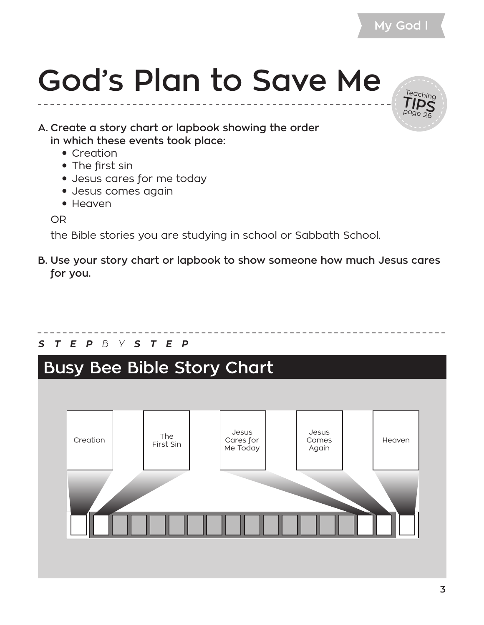Teaching **TIPS** page

# **God's Plan to Save Me**



- $\bullet$  Creation
- $\bullet$  The first sin
- Jesus cares for me today
- Jesus comes again
- $\bullet$  Heaven

OR

the Bible stories you are studying in school or Sabbath School.

**B. Use your story chart or lapbook to show someone how much Jesus cares for you.**

#### *S T E P B Y S T E P*

#### **Busy Bee Bible Story Chart**

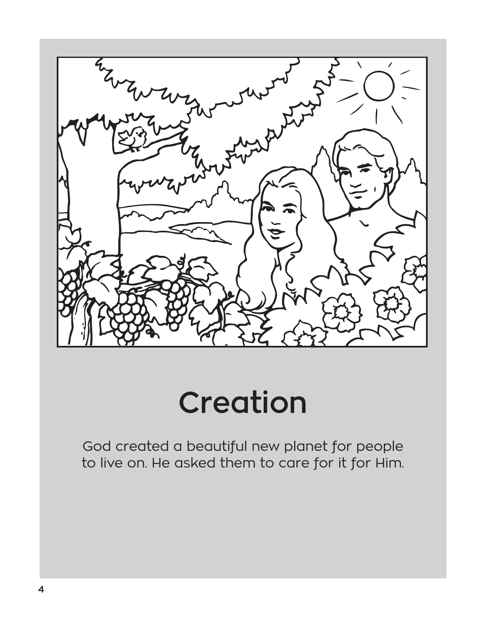

#### **Creation**

God created a beautiful new planet for people to live on. He asked them to care for it for Him.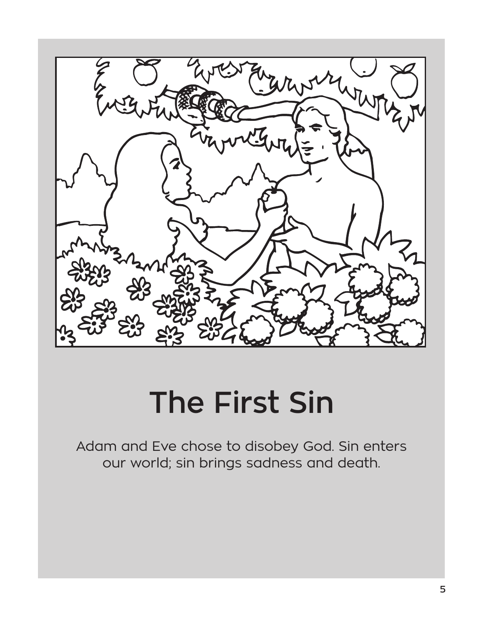

### **The First Sin**

Adam and Eve chose to disobey God. Sin enters our world; sin brings sadness and death.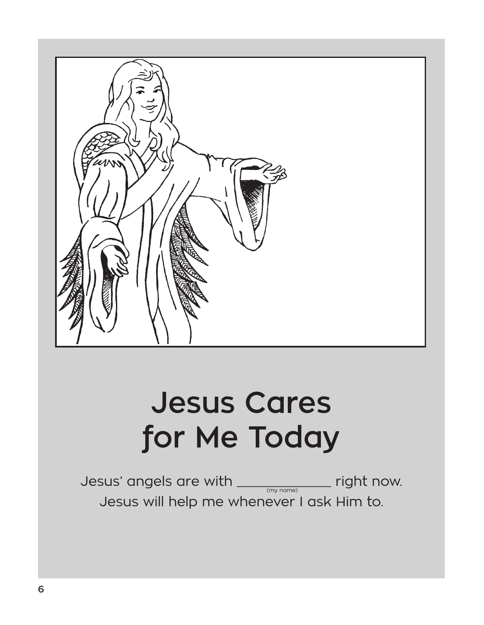

# **Jesus Cares for Me Today**

Jesus' angels are with \_\_\_\_\_\_\_\_\_\_\_\_\_\_\_\_ right now. Jesus will help me whenever I ask Him to.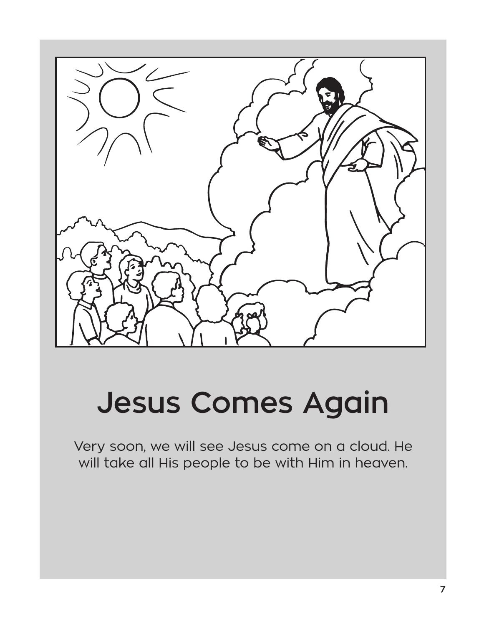

## **Jesus Comes Again**

Very soon, we will see Jesus come on a cloud. He will take all His people to be with Him in heaven.